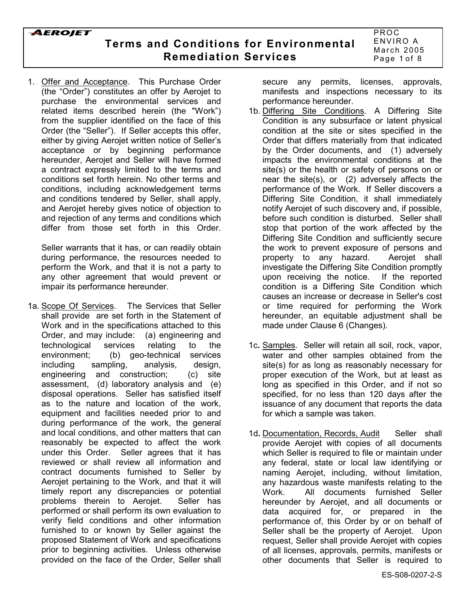**Terms and Conditions for Environmental Remediation Services**

1. Offer and Acceptance. This Purchase Order (the "Order") constitutes an offer by Aerojet to purchase the environmental services and related items described herein (the "Work") from the supplier identified on the face of this Order (the "Seller"). If Seller accepts this offer, either by giving Aerojet written notice of Seller's acceptance or by beginning performance hereunder, Aerojet and Seller will have formed a contract expressly limited to the terms and conditions set forth herein. No other terms and conditions, including acknowledgement terms and conditions tendered by Seller, shall apply, and Aerojet hereby gives notice of objection to and rejection of any terms and conditions which differ from those set forth in this Order.

Seller warrants that it has, or can readily obtain during performance, the resources needed to perform the Work, and that it is not a party to any other agreement that would prevent or impair its performance hereunder.

1a. Scope Of Services. The Services that Seller shall provide are set forth in the Statement of Work and in the specifications attached to this Order, and may include: (a) engineering and technological services relating to the environment; (b) geo-technical services including sampling, analysis, design, engineering and construction; (c) site assessment, (d) laboratory analysis and (e) disposal operations. Seller has satisfied itself as to the nature and location of the work, equipment and facilities needed prior to and during performance of the work, the general and local conditions, and other matters that can reasonably be expected to affect the work under this Order. Seller agrees that it has reviewed or shall review all information and contract documents furnished to Seller by Aerojet pertaining to the Work, and that it will timely report any discrepancies or potential problems therein to Aerojet. Seller has performed or shall perform its own evaluation to verify field conditions and other information furnished to or known by Seller against the proposed Statement of Work and specifications prior to beginning activities. Unless otherwise provided on the face of the Order, Seller shall

secure any permits, licenses, approvals, manifests and inspections necessary to its performance hereunder.

- 1b. Differing Site Conditions. A Differing Site Condition is any subsurface or latent physical condition at the site or sites specified in the Order that differs materially from that indicated by the Order documents, and (1) adversely impacts the environmental conditions at the site(s) or the health or safety of persons on or near the site(s), or (2) adversely affects the performance of the Work. If Seller discovers a Differing Site Condition, it shall immediately notify Aerojet of such discovery and, if possible, before such condition is disturbed. Seller shall stop that portion of the work affected by the Differing Site Condition and sufficiently secure the work to prevent exposure of persons and property to any hazard. Aerojet shall investigate the Differing Site Condition promptly upon receiving the notice. If the reported condition is a Differing Site Condition which causes an increase or decrease in Seller's cost or time required for performing the Work hereunder, an equitable adjustment shall be made under Clause 6 (Changes).
- 1c**.** Samples. Seller will retain all soil, rock, vapor, water and other samples obtained from the site(s) for as long as reasonably necessary for proper execution of the Work, but at least as long as specified in this Order, and if not so specified, for no less than 120 days after the issuance of any document that reports the data for which a sample was taken.
- 1d. Documentation, Records, Audit Seller shall provide Aerojet with copies of all documents which Seller is required to file or maintain under any federal, state or local law identifying or naming Aerojet, including, without limitation, any hazardous waste manifests relating to the Work. All documents furnished Seller hereunder by Aerojet, and all documents or data acquired for, or prepared in the performance of, this Order by or on behalf of Seller shall be the property of Aerojet. Upon request, Seller shall provide Aerojet with copies of all licenses, approvals, permits, manifests or other documents that Seller is required to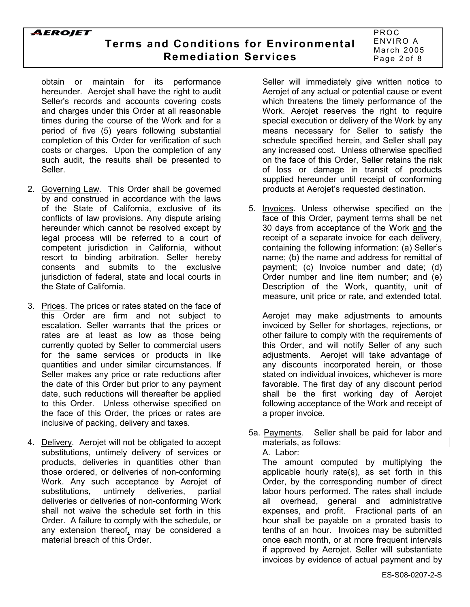# **Terms and Conditions for Environmental Remediation Services**

PROC ENVIRO A March 2005 Page 2 of 8

obtain or maintain for its performance hereunder. Aerojet shall have the right to audit Seller's records and accounts covering costs and charges under this Order at all reasonable times during the course of the Work and for a period of five (5) years following substantial completion of this Order for verification of such costs or charges. Upon the completion of any such audit, the results shall be presented to Seller.

- 2. Governing Law. This Order shall be governed by and construed in accordance with the laws of the State of California, exclusive of its conflicts of law provisions. Any dispute arising hereunder which cannot be resolved except by legal process will be referred to a court of competent jurisdiction in California, without resort to binding arbitration. Seller hereby consents and submits to the exclusive jurisdiction of federal, state and local courts in the State of California.
- 3. Prices. The prices or rates stated on the face of this Order are firm and not subject to escalation. Seller warrants that the prices or rates are at least as low as those being currently quoted by Seller to commercial users for the same services or products in like quantities and under similar circumstances. If Seller makes any price or rate reductions after the date of this Order but prior to any payment date, such reductions will thereafter be applied to this Order. Unless otherwise specified on the face of this Order, the prices or rates are inclusive of packing, delivery and taxes.
- 4. Delivery. Aerojet will not be obligated to accept substitutions, untimely delivery of services or products, deliveries in quantities other than those ordered, or deliveries of non-conforming Work. Any such acceptance by Aerojet of substitutions, untimely deliveries, partial deliveries or deliveries of non-conforming Work shall not waive the schedule set forth in this Order. A failure to comply with the schedule, or any extension thereof, may be considered a material breach of this Order.

Seller will immediately give written notice to Aerojet of any actual or potential cause or event which threatens the timely performance of the Work. Aerojet reserves the right to require special execution or delivery of the Work by any means necessary for Seller to satisfy the schedule specified herein, and Seller shall pay any increased cost. Unless otherwise specified on the face of this Order, Seller retains the risk of loss or damage in transit of products supplied hereunder until receipt of conforming products at Aerojet's requested destination.

5. Invoices. Unless otherwise specified on the face of this Order, payment terms shall be net 30 days from acceptance of the Work and the receipt of a separate invoice for each delivery, containing the following information: (a) Seller's name; (b) the name and address for remittal of payment; (c) Invoice number and date; (d) Order number and line item number; and (e) Description of the Work, quantity, unit of measure, unit price or rate, and extended total.

Aerojet may make adjustments to amounts invoiced by Seller for shortages, rejections, or other failure to comply with the requirements of this Order, and will notify Seller of any such adjustments. Aerojet will take advantage of any discounts incorporated herein, or those stated on individual invoices, whichever is more favorable. The first day of any discount period shall be the first working day of Aerojet following acceptance of the Work and receipt of a proper invoice.

5a. Payments. Seller shall be paid for labor and materials, as follows: A. Labor:

The amount computed by multiplying the applicable hourly rate(s), as set forth in this Order, by the corresponding number of direct labor hours performed. The rates shall include all overhead, general and administrative expenses, and profit. Fractional parts of an hour shall be payable on a prorated basis to tenths of an hour. Invoices may be submitted once each month, or at more frequent intervals if approved by Aerojet. Seller will substantiate invoices by evidence of actual payment and by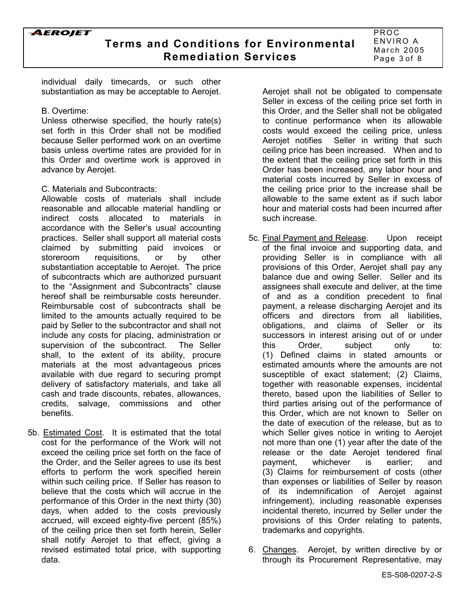PROC ENVIRO A March 2005 Page 3 of 8

individual daily timecards, or such other substantiation as may be acceptable to Aerojet.

#### B. Overtime:

Unless otherwise specified, the hourly rate(s) set forth in this Order shall not be modified because Seller performed work on an overtime basis unless overtime rates are provided for in this Order and overtime work is approved in advance by Aerojet.

### C. Materials and Subcontracts:

Allowable costs of materials shall include reasonable and allocable material handling or indirect costs allocated to materials in accordance with the Seller's usual accounting practices. Seller shall support all material costs claimed by submitting paid invoices or storeroom requisitions, or by other substantiation acceptable to Aerojet. The price of subcontracts which are authorized pursuant to the "Assignment and Subcontracts" clause hereof shall be reimbursable costs hereunder. Reimbursable cost of subcontracts shall be limited to the amounts actually required to be paid by Seller to the subcontractor and shall not include any costs for placing, administration or supervision of the subcontract. The Seller shall, to the extent of its ability, procure materials at the most advantageous prices available with due regard to securing prompt delivery of satisfactory materials, and take all cash and trade discounts, rebates, allowances, credits, salvage, commissions and other benefits.

5b. Estimated Cost. It is estimated that the total cost for the performance of the Work will not exceed the ceiling price set forth on the face of the Order, and the Seller agrees to use its best efforts to perform the work specified herein within such ceiling price. If Seller has reason to believe that the costs which will accrue in the performance of this Order in the next thirty (30) days, when added to the costs previously accrued, will exceed eighty-five percent (85%) of the ceiling price then set forth herein, Seller shall notify Aerojet to that effect, giving a revised estimated total price, with supporting data.

Aerojet shall not be obligated to compensate Seller in excess of the ceiling price set forth in this Order, and the Seller shall not be obligated to continue performance when its allowable costs would exceed the ceiling price, unless Aerojet notifies Seller in writing that such ceiling price has been increased. When and to the extent that the ceiling price set forth in this Order has been increased, any labor hour and material costs incurred by Seller in excess of the ceiling price prior to the increase shall be allowable to the same extent as if such labor hour and material costs had been incurred after such increase.

- 5c. Final Payment and Release. Upon receipt of the final invoice and supporting data, and providing Seller is in compliance with all provisions of this Order, Aerojet shall pay any balance due and owing Seller. Seller and its assignees shall execute and deliver, at the time of and as a condition precedent to final payment, a release discharging Aerojet and its officers and directors from all liabilities, obligations, and claims of Seller or its successors in interest arising out of or under this Order, subject only to: (1) Defined claims in stated amounts or estimated amounts where the amounts are not susceptible of exact statement; (2) Claims, together with reasonable expenses, incidental thereto, based upon the liabilities of Seller to third parties arising out of the performance of this Order, which are not known to Seller on the date of execution of the release, but as to which Seller gives notice in writing to Aerojet not more than one (1) year after the date of the release or the date Aerojet tendered final payment, whichever is earlier; and (3) Claims for reimbursement of costs (other than expenses or liabilities of Seller by reason of its indemnification of Aerojet against infringement), including reasonable expenses incidental thereto, incurred by Seller under the provisions of this Order relating to patents, trademarks and copyrights.
- 6. Changes. Aerojet, by written directive by or through its Procurement Representative, may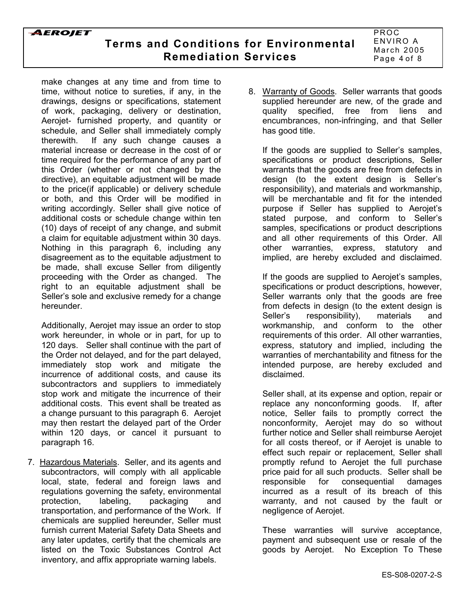make changes at any time and from time to time, without notice to sureties, if any, in the drawings, designs or specifications, statement of work, packaging, delivery or destination, Aerojet- furnished property, and quantity or schedule, and Seller shall immediately comply therewith. If any such change causes a material increase or decrease in the cost of or time required for the performance of any part of this Order (whether or not changed by the directive), an equitable adjustment will be made to the price(if applicable) or delivery schedule or both, and this Order will be modified in writing accordingly. Seller shall give notice of additional costs or schedule change within ten (10) days of receipt of any change, and submit a claim for equitable adjustment within 30 days. Nothing in this paragraph 6, including any disagreement as to the equitable adjustment to be made, shall excuse Seller from diligently proceeding with the Order as changed. The right to an equitable adjustment shall be Seller's sole and exclusive remedy for a change hereunder.

Additionally, Aerojet may issue an order to stop work hereunder, in whole or in part, for up to 120 days. Seller shall continue with the part of the Order not delayed, and for the part delayed, immediately stop work and mitigate the incurrence of additional costs, and cause its subcontractors and suppliers to immediately stop work and mitigate the incurrence of their additional costs. This event shall be treated as a change pursuant to this paragraph 6. Aerojet may then restart the delayed part of the Order within 120 days, or cancel it pursuant to paragraph 16.

7. Hazardous Materials. Seller, and its agents and subcontractors, will comply with all applicable local, state, federal and foreign laws and regulations governing the safety, environmental protection, labeling, packaging and transportation, and performance of the Work. If chemicals are supplied hereunder, Seller must furnish current Material Safety Data Sheets and any later updates, certify that the chemicals are listed on the Toxic Substances Control Act inventory, and affix appropriate warning labels.

8. Warranty of Goods. Seller warrants that goods supplied hereunder are new, of the grade and quality specified, free from liens and encumbrances, non-infringing, and that Seller has good title.

If the goods are supplied to Seller's samples, specifications or product descriptions, Seller warrants that the goods are free from defects in design (to the extent design is Sellerís responsibility), and materials and workmanship, will be merchantable and fit for the intended purpose if Seller has supplied to Aerojetís stated purpose, and conform to Seller's samples, specifications or product descriptions and all other requirements of this Order. All other warranties, express, statutory and implied, are hereby excluded and disclaimed.

If the goods are supplied to Aerojet's samples, specifications or product descriptions, however, Seller warrants only that the goods are free from defects in design (to the extent design is Seller's responsibility), materials and workmanship, and conform to the other requirements of this order. All other warranties, express, statutory and implied, including the warranties of merchantability and fitness for the intended purpose, are hereby excluded and disclaimed.

Seller shall, at its expense and option, repair or replace any nonconforming goods. If, after notice, Seller fails to promptly correct the nonconformity, Aerojet may do so without further notice and Seller shall reimburse Aerojet for all costs thereof, or if Aerojet is unable to effect such repair or replacement, Seller shall promptly refund to Aerojet the full purchase price paid for all such products. Seller shall be responsible for consequential damages incurred as a result of its breach of this warranty, and not caused by the fault or negligence of Aerojet.

These warranties will survive acceptance, payment and subsequent use or resale of the goods by Aerojet. No Exception To These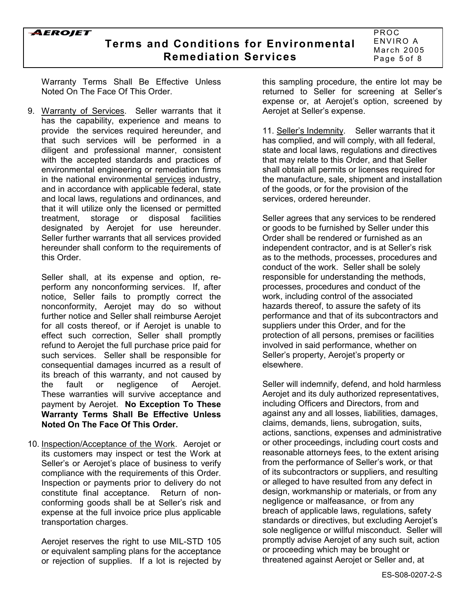### **Terms and Conditions for Environmental Remediation Services**

PROC ENVIRO A March 2005 Page 5 of 8

Warranty Terms Shall Be Effective Unless Noted On The Face Of This Order.

9. Warranty of Services. Seller warrants that it has the capability, experience and means to provide the services required hereunder, and that such services will be performed in a diligent and professional manner, consistent with the accepted standards and practices of environmental engineering or remediation firms in the national environmental services industry, and in accordance with applicable federal, state and local laws, regulations and ordinances, and that it will utilize only the licensed or permitted treatment, storage or disposal facilities designated by Aerojet for use hereunder. Seller further warrants that all services provided hereunder shall conform to the requirements of this Order.

Seller shall, at its expense and option, reperform any nonconforming services. If, after notice, Seller fails to promptly correct the nonconformity, Aerojet may do so without further notice and Seller shall reimburse Aerojet for all costs thereof, or if Aerojet is unable to effect such correction, Seller shall promptly refund to Aerojet the full purchase price paid for such services. Seller shall be responsible for consequential damages incurred as a result of its breach of this warranty, and not caused by the fault or negligence of Aerojet. These warranties will survive acceptance and payment by Aerojet. **No Exception To These Warranty Terms Shall Be Effective Unless Noted On The Face Of This Order.**

10. Inspection/Acceptance of the Work. Aerojet or its customers may inspect or test the Work at Seller's or Aerojet's place of business to verify compliance with the requirements of this Order. Inspection or payments prior to delivery do not constitute final acceptance. Return of nonconforming goods shall be at Seller's risk and expense at the full invoice price plus applicable transportation charges.

Aerojet reserves the right to use MIL-STD 105 or equivalent sampling plans for the acceptance or rejection of supplies. If a lot is rejected by this sampling procedure, the entire lot may be returned to Seller for screening at Seller's expense or, at Aerojet's option, screened by Aerojet at Seller's expense.

11. Sellerís Indemnity. Seller warrants that it has complied, and will comply, with all federal, state and local laws, regulations and directives that may relate to this Order, and that Seller shall obtain all permits or licenses required for the manufacture, sale, shipment and installation of the goods, or for the provision of the services, ordered hereunder.

Seller agrees that any services to be rendered or goods to be furnished by Seller under this Order shall be rendered or furnished as an independent contractor, and is at Seller's risk as to the methods, processes, procedures and conduct of the work. Seller shall be solely responsible for understanding the methods, processes, procedures and conduct of the work, including control of the associated hazards thereof, to assure the safety of its performance and that of its subcontractors and suppliers under this Order, and for the protection of all persons, premises or facilities involved in said performance, whether on Seller's property, Aerojet's property or elsewhere.

Seller will indemnify, defend, and hold harmless Aerojet and its duly authorized representatives, including Officers and Directors, from and against any and all losses, liabilities, damages, claims, demands, liens, subrogation, suits, actions, sanctions, expenses and administrative or other proceedings, including court costs and reasonable attorneys fees, to the extent arising from the performance of Seller's work, or that of its subcontractors or suppliers, and resulting or alleged to have resulted from any defect in design, workmanship or materials, or from any negligence or malfeasance, or from any breach of applicable laws, regulations, safety standards or directives, but excluding Aerojet's sole negligence or willful misconduct. Seller will promptly advise Aerojet of any such suit, action or proceeding which may be brought or threatened against Aerojet or Seller and, at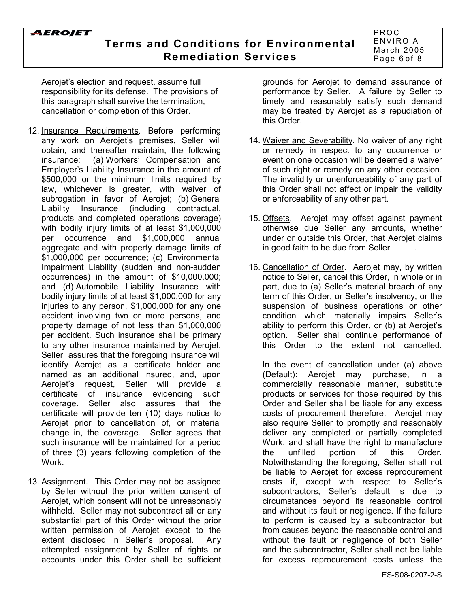## **Terms and Conditions for Environmental Remediation Services**

PROC ENVIRO A March 2005 Page 6 of 8

Aerojet's election and request, assume full responsibility for its defense. The provisions of this paragraph shall survive the termination, cancellation or completion of this Order.

- 12. Insurance Requirements. Before performing any work on Aerojet's premises, Seller will obtain, and thereafter maintain, the following insurance: (a) Workers' Compensation and Employerís Liability Insurance in the amount of \$500,000 or the minimum limits required by law, whichever is greater, with waiver of subrogation in favor of Aerojet; (b) General Liability Insurance (including contractual, products and completed operations coverage) with bodily injury limits of at least \$1,000,000 per occurrence and \$1,000,000 annual aggregate and with property damage limits of \$1,000,000 per occurrence; (c) Environmental Impairment Liability (sudden and non-sudden occurrences) in the amount of \$10,000,000; and (d) Automobile Liability Insurance with bodily injury limits of at least \$1,000,000 for any injuries to any person, \$1,000,000 for any one accident involving two or more persons, and property damage of not less than \$1,000,000 per accident. Such insurance shall be primary to any other insurance maintained by Aerojet. Seller assures that the foregoing insurance will identify Aerojet as a certificate holder and named as an additional insured, and, upon Aerojetís request, Seller will provide a certificate of insurance evidencing such coverage. Seller also assures that the certificate will provide ten (10) days notice to Aerojet prior to cancellation of, or material change in, the coverage. Seller agrees that such insurance will be maintained for a period of three (3) years following completion of the Work.
- 13. Assignment. This Order may not be assigned by Seller without the prior written consent of Aerojet, which consent will not be unreasonably withheld. Seller may not subcontract all or any substantial part of this Order without the prior written permission of Aerojet except to the extent disclosed in Seller's proposal. Any attempted assignment by Seller of rights or accounts under this Order shall be sufficient

grounds for Aerojet to demand assurance of performance by Seller. A failure by Seller to timely and reasonably satisfy such demand may be treated by Aerojet as a repudiation of this Order.

- 14. Waiver and Severability. No waiver of any right or remedy in respect to any occurrence or event on one occasion will be deemed a waiver of such right or remedy on any other occasion. The invalidity or unenforceability of any part of this Order shall not affect or impair the validity or enforceability of any other part.
- 15. Offsets. Aerojet may offset against payment otherwise due Seller any amounts, whether under or outside this Order, that Aerojet claims in good faith to be due from Seller .
- 16. Cancellation of Order. Aerojet may, by written notice to Seller, cancel this Order, in whole or in part, due to (a) Seller's material breach of any term of this Order, or Seller's insolvency, or the suspension of business operations or other condition which materially impairs Seller's ability to perform this Order, or (b) at Aerojet's option. Seller shall continue performance of this Order to the extent not cancelled.

In the event of cancellation under (a) above (Default): Aerojet may purchase, in a commercially reasonable manner, substitute products or services for those required by this Order and Seller shall be liable for any excess costs of procurement therefore. Aerojet may also require Seller to promptly and reasonably deliver any completed or partially completed Work, and shall have the right to manufacture the unfilled portion of this Order. Notwithstanding the foregoing, Seller shall not be liable to Aerojet for excess reprocurement costs if, except with respect to Sellerís subcontractors. Seller's default is due to circumstances beyond its reasonable control and without its fault or negligence. If the failure to perform is caused by a subcontractor but from causes beyond the reasonable control and without the fault or negligence of both Seller and the subcontractor, Seller shall not be liable for excess reprocurement costs unless the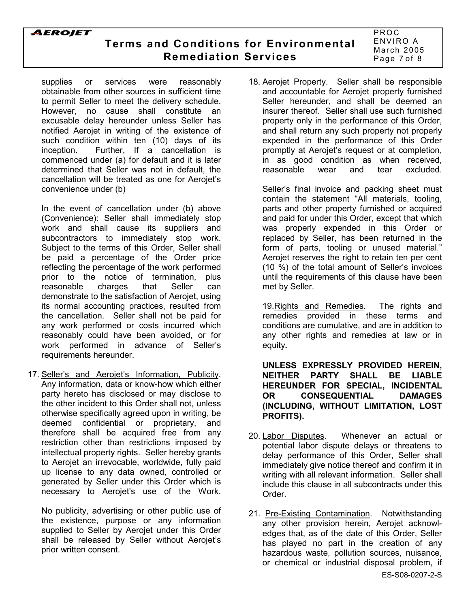# **Terms and Conditions for Environmental Remediation Services**

PROC ENVIRO A March 2005 Page 7 of 8

supplies or services were reasonably obtainable from other sources in sufficient time to permit Seller to meet the delivery schedule. However, no cause shall constitute an excusable delay hereunder unless Seller has notified Aerojet in writing of the existence of such condition within ten (10) days of its inception. Further, If a cancellation is commenced under (a) for default and it is later determined that Seller was not in default, the cancellation will be treated as one for Aerojet's convenience under (b)

In the event of cancellation under (b) above (Convenience): Seller shall immediately stop work and shall cause its suppliers and subcontractors to immediately stop work. Subject to the terms of this Order, Seller shall be paid a percentage of the Order price reflecting the percentage of the work performed prior to the notice of termination, plus reasonable charges that Seller can demonstrate to the satisfaction of Aerojet, using its normal accounting practices, resulted from the cancellation. Seller shall not be paid for any work performed or costs incurred which reasonably could have been avoided, or for work performed in advance of Sellerís requirements hereunder.

17. Seller's and Aerojet's Information, Publicity. Any information, data or know-how which either party hereto has disclosed or may disclose to the other incident to this Order shall not, unless otherwise specifically agreed upon in writing, be deemed confidential or proprietary, and therefore shall be acquired free from any restriction other than restrictions imposed by intellectual property rights. Seller hereby grants to Aerojet an irrevocable, worldwide, fully paid up license to any data owned, controlled or generated by Seller under this Order which is necessary to Aerojet's use of the Work.

No publicity, advertising or other public use of the existence, purpose or any information supplied to Seller by Aerojet under this Order shall be released by Seller without Aerojet's prior written consent.

18. Aerojet Property. Seller shall be responsible and accountable for Aerojet property furnished Seller hereunder, and shall be deemed an insurer thereof. Seller shall use such furnished property only in the performance of this Order, and shall return any such property not properly expended in the performance of this Order promptly at Aerojetís request or at completion, in as good condition as when received, reasonable wear and tear excluded.

Seller's final invoice and packing sheet must contain the statement "All materials, tooling, parts and other property furnished or acquired and paid for under this Order, except that which was properly expended in this Order or replaced by Seller, has been returned in the form of parts, tooling or unused material." Aerojet reserves the right to retain ten per cent (10 %) of the total amount of Seller's invoices until the requirements of this clause have been met by Seller.

19.Rights and Remedies. The rights and remedies provided in these terms and conditions are cumulative, and are in addition to any other rights and remedies at law or in equity**.**

**UNLESS EXPRESSLY PROVIDED HEREIN, NEITHER PARTY SHALL BE LIABLE HEREUNDER FOR SPECIAL, INCIDENTAL OR CONSEQUENTIAL DAMAGES (INCLUDING, WITHOUT LIMITATION, LOST PROFITS).**

- 20. Labor Disputes. Whenever an actual or potential labor dispute delays or threatens to delay performance of this Order, Seller shall immediately give notice thereof and confirm it in writing with all relevant information. Seller shall include this clause in all subcontracts under this Order.
- 21. Pre-Existing Contamination. Notwithstanding any other provision herein, Aerojet acknowledges that, as of the date of this Order, Seller has played no part in the creation of any hazardous waste, pollution sources, nuisance, or chemical or industrial disposal problem, if